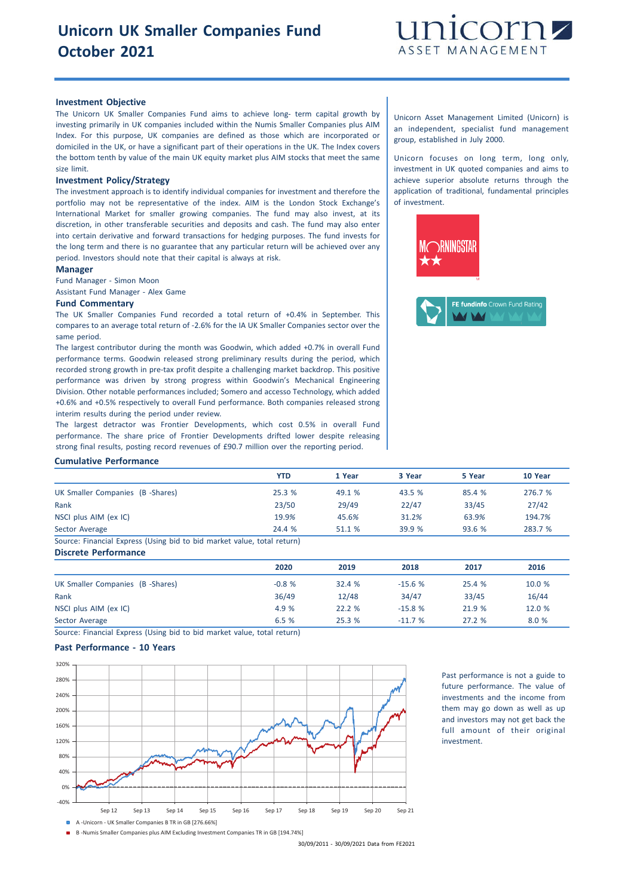

## **Investment Objective**

The Unicorn UK Smaller Companies Fund aims to achieve long- term capital growth by investing primarily in UK companies included within the Numis Smaller Companies plus AIM Index. For this purpose, UK companies are defined as those which are incorporated or domiciled in the UK, or have a significant part of their operations in the UK. The Index covers the bottom tenth by value of the main UK equity market plus AIM stocks that meet the same size limit.

#### **Investment Policy/Strategy**

The investment approach is to identify individual companies for investment and therefore the portfolio may not be representative of the index. AIM is the London Stock Exchange's International Market for smaller growing companies. The fund may also invest, at its discretion, in other transferable securities and deposits and cash. The fund may also enter into certain derivative and forward transactions for hedging purposes. The fund invests for the long term and there is no guarantee that any particular return will be achieved over any period. Investors should note that their capital is always at risk.

## **Manager**

Fund Manager - Simon Moon

Assistant Fund Manager - Alex Game

## **Fund Commentary**

The UK Smaller Companies Fund recorded a total return of +0.4% in September. This compares to an average total return of -2.6% for the IA UK Smaller Companies sector over the same period.

The largest contributor during the month was Goodwin, which added +0.7% in overall Fund performance terms. Goodwin released strong preliminary results during the period, which recorded strong growth in pre-tax profit despite a challenging market backdrop. This positive performance was driven by strong progress within Goodwin's Mechanical Engineering Division. Other notable performances included; Somero and accesso Technology, which added +0.6% and +0.5% respectively to overall Fund performance. Both companies released strong interim results during the period under review.

The largest detractor was Frontier Developments, which cost 0.5% in overall Fund performance. The share price of Frontier Developments drifted lower despite releasing strong final results, posting record revenues of £90.7 million over the reporting period.

Unicorn Asset Management Limited (Unicorn) is an independent, specialist fund management group, established in July 2000.

Unicorn focuses on long term, long only, investment in UK quoted companies and aims to achieve superior absolute returns through the application of traditional, fundamental principles of investment.





#### **Cumulative Performance**

|                                                                        | <b>YTD</b> | 1 Year | 3 Year | 5 Year | 10 Year |
|------------------------------------------------------------------------|------------|--------|--------|--------|---------|
| UK Smaller Companies (B -Shares)                                       | 25.3%      | 49.1 % | 43.5 % | 85.4 % | 276.7 % |
| Rank                                                                   | 23/50      | 29/49  | 22/47  | 33/45  | 27/42   |
| NSCI plus AIM (ex IC)                                                  | 19.9%      | 45.6%  | 31.2%  | 63.9%  | 194.7%  |
| Sector Average                                                         | 24.4 %     | 51.1 % | 39.9 % | 93.6%  | 283.7 % |
| Cource: Einancial Evaress (Heing bid to bid market value total return) |            |        |        |        |         |

:: Financial Express (Using bid to bid market value, total return) **Discrete Performance**

|                                  | 2020    | 2019   | 2018     | 2017   | 2016   |
|----------------------------------|---------|--------|----------|--------|--------|
| UK Smaller Companies (B -Shares) | $-0.8%$ | 32.4 % | $-15.6%$ | 25.4 % | 10.0 % |
| Rank                             | 36/49   | 12/48  | 34/47    | 33/45  | 16/44  |
| NSCI plus AIM (ex IC)            | 4.9 %   | 22.2%  | $-15.8%$ | 21.9 % | 12.0 % |
| Sector Average                   | 6.5%    | 25.3%  | $-11.7%$ | 27.2%  | 8.0 %  |

Source: Financial Express (Using bid to bid market value, total return)

# **Past Performance - 10 Years**



Past performance is not a guide to future performance. The value of investments and the income from them may go down as well as up and investors may not get back the full amount of their original investment.

30/09/2011 - 30/09/2021 Data from FE2021

B -Numis Smaller Companies plus AIM Excluding Investment Companies TR in GB [194.74%]